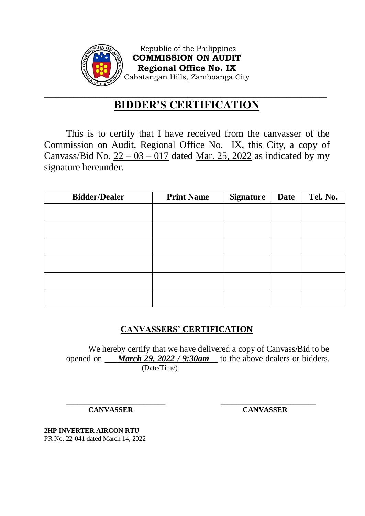

Republic of the Philippines **COMMISSION ON AUDIT Regional Office No. IX** Cabatangan Hills, Zamboanga City

## \_\_\_\_\_\_\_\_\_\_\_\_\_\_\_\_\_\_\_\_\_\_\_\_\_\_\_\_\_\_\_\_\_\_\_\_\_\_\_\_\_\_\_\_\_\_\_\_\_\_\_\_\_\_\_\_\_\_\_\_\_\_\_\_\_\_\_\_\_\_\_\_\_\_\_\_\_ **BIDDER'S CERTIFICATION**

This is to certify that I have received from the canvasser of the Commission on Audit, Regional Office No. IX, this City, a copy of Canvass/Bid No.  $22 - 03 - 017$  dated Mar. 25, 2022 as indicated by my signature hereunder.

| <b>Bidder/Dealer</b> | <b>Print Name</b> | <b>Signature</b> | <b>Date</b> | Tel. No. |
|----------------------|-------------------|------------------|-------------|----------|
|                      |                   |                  |             |          |
|                      |                   |                  |             |          |
|                      |                   |                  |             |          |
|                      |                   |                  |             |          |
|                      |                   |                  |             |          |
|                      |                   |                  |             |          |

# **CANVASSERS' CERTIFICATION**

We hereby certify that we have delivered a copy of Canvass/Bid to be opened on *\_\_\_March 29, 2022 / 9:30am\_\_* to the above dealers or bidders. (Date/Time)

\_\_\_\_\_\_\_\_\_\_\_\_\_\_\_\_\_\_\_\_\_\_\_\_\_\_\_ \_\_\_\_\_\_\_\_\_\_\_\_\_\_\_\_\_\_\_\_\_\_\_\_\_\_ **CANVASSER CANVASSER**

**2HP INVERTER AIRCON RTU** PR No. 22-041 dated March 14, 2022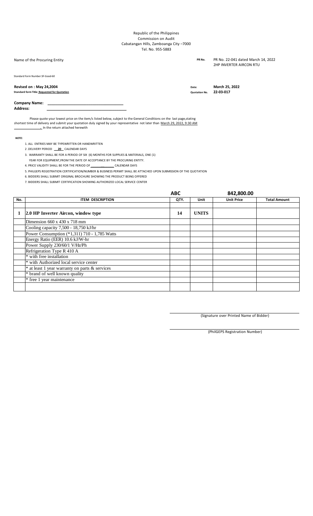#### Republic of the Philippines Commission on Audit Cabatangan Hills, Zamboanga City –7000 Tel. No. 955-5883

| Name of the Procuring Entity                                                   | PR No.                        | PR No. 22-041 dated March 14, 2022<br>2HP INVERTER AIRCON RTU |
|--------------------------------------------------------------------------------|-------------------------------|---------------------------------------------------------------|
| Standard Form Number: SF-Good-60                                               |                               |                                                               |
| Revised on: May 24,2004<br><b>Standard form Title: Requested for Quotation</b> | Date:<br><b>Quotation No.</b> | March 25, 2022<br>22 03 017                                   |
| <b>Company Name:</b><br><b>Address:</b>                                        |                               |                                                               |

Please quote your lowest price on the item/s listed below, subject to the General Conditions on the last page, stating shortest time of delivery and submit your quotation duly signed by your representative not later than <u>March 29, 2022, 9:30 AM</u> **\_\_\_\_\_\_\_\_\_\_\_\_\_\_\_\_.** In the return attached herewith

*NOTE:*

- 1. ALL ENTRIES MAY BE TYPEWRITTEN OR HANDWRITTEN
- 2 .DELIVERY PERIOD **\_\_20**\_ CALENDAR DAYS
- 3. WARRANTY SHALL BE FOR A PERIOD OF SIX (6) MONTHS FOR SUPPLIES & MATERIALS, ONE (1)
- YEAR FOR EQUIPMENT,FROM THE DATE OF ACCEPTANCE BY THE PROCURING ENTITY.
- 4. PRICE VALIDITY SHALL BE FOR THE PERIOD OF \_\_\_\_\_\_**\_\_**\_\_\_\_\_\_ CALENDAR DAYS
- 5. PHILGEPS REGISTRATION CERTIFICATION/NUMBER & BUSINESS PERMIT SHALL BE ATTACHED UPON SUBMISSION OF THE QUOTATION
- 6. BIDDERS SHALL SUBMIT ORIGINAL BROCHURE SHOWING THE PRODUCT BEING OFFERED
- 7. BIDDERS SHALL SUBMIT CERTIFICATION SHOWING AUTHORIZED LOCAL SERVICE CENTER

|     |                                                | <b>ABC</b> |              | 842,800.00        |                     |
|-----|------------------------------------------------|------------|--------------|-------------------|---------------------|
| No. | <b>ITEM DESCRIPTION</b>                        | QTY.       | Unit         | <b>Unit Price</b> | <b>Total Amount</b> |
|     |                                                |            |              |                   |                     |
| 1   | 2.0 HP Inverter Aircon, window type            | 14         | <b>UNITS</b> |                   |                     |
|     | Dimension $660 \times 430 \times 718$ mm       |            |              |                   |                     |
|     | Cooling capacity 7,500 - 18,750 kJ/hr          |            |              |                   |                     |
|     | Power Consumption (*1,311) 710 - 1,785 Watts   |            |              |                   |                     |
|     | Energy Ratio (EER) 10.6 kJ/W-hr                |            |              |                   |                     |
|     | Power Supply 230/60/1 V/Hz/Ph                  |            |              |                   |                     |
|     | Refrigeration Type R 410 A                     |            |              |                   |                     |
|     | * with free installation                       |            |              |                   |                     |
|     | * with Authorized local service center         |            |              |                   |                     |
|     | * at least 1 year warranty on parts & services |            |              |                   |                     |
|     | * brand of well known quality                  |            |              |                   |                     |
|     | * free 1 year maintenance                      |            |              |                   |                     |
|     |                                                |            |              |                   |                     |

(Signature over Printed Name of Bidder)

(PhilGEPS Registration Number)